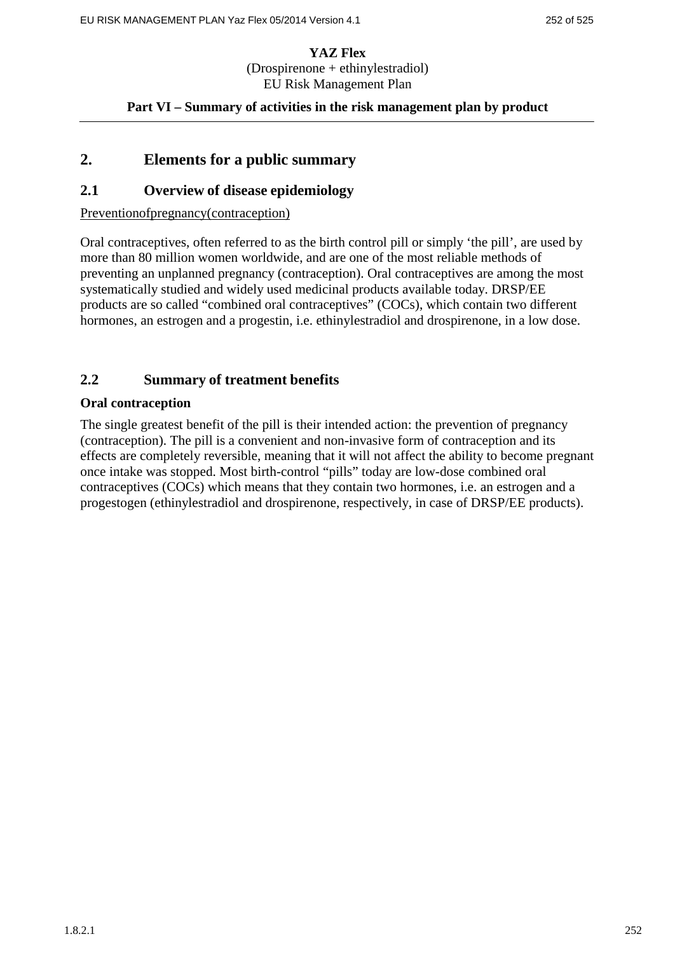#### **Part VI – Summary of activities in the risk management plan by product**

# **2. Elements for a public summary**

### **2.1 Overview of disease epidemiology**

#### Preventionofpregnancy(contraception)

Oral contraceptives, often referred to as the birth control pill or simply 'the pill', are used by more than 80 million women worldwide, and are one of the most reliable methods of preventing an unplanned pregnancy (contraception). Oral contraceptives are among the most systematically studied and widely used medicinal products available today. DRSP/EE products are so called "combined oral contraceptives" (COCs), which contain two different hormones, an estrogen and a progestin, i.e. ethinylestradiol and drospirenone, in a low dose.

# **2.2 Summary of treatment benefits**

#### **Oral contraception**

The single greatest benefit of the pill is their intended action: the prevention of pregnancy (contraception). The pill is a convenient and non-invasive form of contraception and its effects are completely reversible, meaning that it will not affect the ability to become pregnant once intake was stopped. Most birth-control "pills" today are low-dose combined oral contraceptives (COCs) which means that they contain two hormones, i.e. an estrogen and a progestogen (ethinylestradiol and drospirenone, respectively, in case of DRSP/EE products).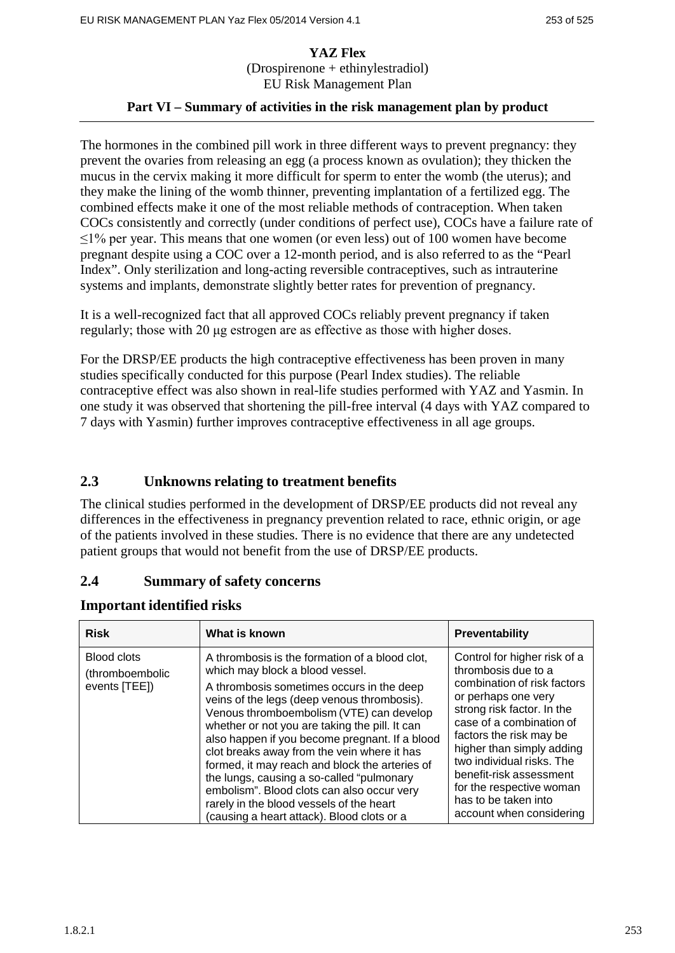# **Part VI – Summary of activities in the risk management plan by product**

The hormones in the combined pill work in three different ways to prevent pregnancy: they prevent the ovaries from releasing an egg (a process known as ovulation); they thicken the mucus in the cervix making it more difficult for sperm to enter the womb (the uterus); and they make the lining of the womb thinner, preventing implantation of a fertilized egg. The combined effects make it one of the most reliable methods of contraception. When taken COCs consistently and correctly (under conditions of perfect use), COCs have a failure rate of  $\leq$ 1% per year. This means that one women (or even less) out of 100 women have become pregnant despite using a COC over a 12-month period, and is also referred to as the "Pearl Index". Only sterilization and long-acting reversible contraceptives, such as intrauterine systems and implants, demonstrate slightly better rates for prevention of pregnancy.

It is a well-recognized fact that all approved COCs reliably prevent pregnancy if taken regularly; those with 20 μg estrogen are as effective as those with higher doses.

For the DRSP/EE products the high contraceptive effectiveness has been proven in many studies specifically conducted for this purpose (Pearl Index studies). The reliable contraceptive effect was also shown in real-life studies performed with YAZ and Yasmin. In one study it was observed that shortening the pill-free interval (4 days with YAZ compared to 7 days with Yasmin) further improves contraceptive effectiveness in all age groups.

# **2.3 Unknowns relating to treatment benefits**

The clinical studies performed in the development of DRSP/EE products did not reveal any differences in the effectiveness in pregnancy prevention related to race, ethnic origin, or age of the patients involved in these studies. There is no evidence that there are any undetected patient groups that would not benefit from the use of DRSP/EE products.

# **2.4 Summary of safety concerns**

| <b>Risk</b>                                            | What is known                                                                                                                                                                                                                                                                                                                                                                                                                  | <b>Preventability</b>                                                                                                                                                                                                                                    |
|--------------------------------------------------------|--------------------------------------------------------------------------------------------------------------------------------------------------------------------------------------------------------------------------------------------------------------------------------------------------------------------------------------------------------------------------------------------------------------------------------|----------------------------------------------------------------------------------------------------------------------------------------------------------------------------------------------------------------------------------------------------------|
| <b>Blood clots</b><br>(thromboembolic<br>events [TEE]) | A thrombosis is the formation of a blood clot,<br>which may block a blood vessel.<br>A thrombosis sometimes occurs in the deep<br>veins of the legs (deep venous thrombosis).<br>Venous thromboembolism (VTE) can develop<br>whether or not you are taking the pill. It can<br>also happen if you become pregnant. If a blood<br>clot breaks away from the vein where it has<br>formed, it may reach and block the arteries of | Control for higher risk of a<br>thrombosis due to a<br>combination of risk factors<br>or perhaps one very<br>strong risk factor. In the<br>case of a combination of<br>factors the risk may be<br>higher than simply adding<br>two individual risks. The |
|                                                        | the lungs, causing a so-called "pulmonary<br>embolism". Blood clots can also occur very<br>rarely in the blood vessels of the heart<br>(causing a heart attack). Blood clots or a                                                                                                                                                                                                                                              | benefit-risk assessment<br>for the respective woman<br>has to be taken into<br>account when considering                                                                                                                                                  |

#### **Important identified risks**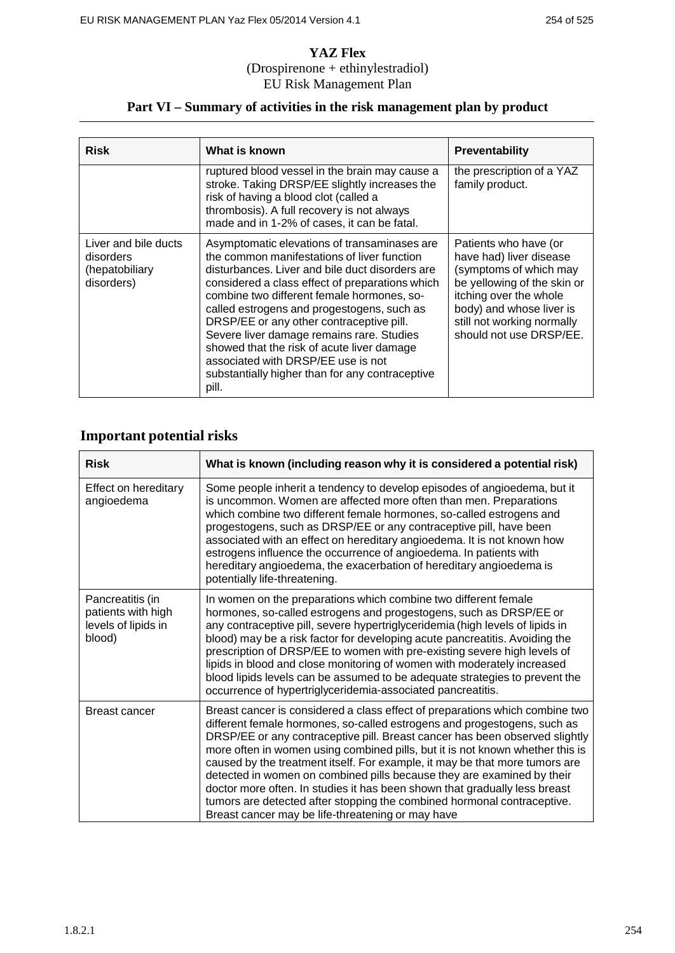# **Part VI – Summary of activities in the risk management plan by product**

| Risk                                                              | What is known                                                                                                                                                                                                                                                                                                                                                                                                                                                                                                                          | <b>Preventability</b>                                                                                                                                                                                                    |  |
|-------------------------------------------------------------------|----------------------------------------------------------------------------------------------------------------------------------------------------------------------------------------------------------------------------------------------------------------------------------------------------------------------------------------------------------------------------------------------------------------------------------------------------------------------------------------------------------------------------------------|--------------------------------------------------------------------------------------------------------------------------------------------------------------------------------------------------------------------------|--|
|                                                                   | ruptured blood vessel in the brain may cause a<br>stroke. Taking DRSP/EE slightly increases the<br>risk of having a blood clot (called a<br>thrombosis). A full recovery is not always<br>made and in 1-2% of cases, it can be fatal.                                                                                                                                                                                                                                                                                                  | the prescription of a YAZ<br>family product.                                                                                                                                                                             |  |
| Liver and bile ducts<br>disorders<br>(hepatobiliary<br>disorders) | Asymptomatic elevations of transaminases are<br>the common manifestations of liver function<br>disturbances. Liver and bile duct disorders are<br>considered a class effect of preparations which<br>combine two different female hormones, so-<br>called estrogens and progestogens, such as<br>DRSP/EE or any other contraceptive pill.<br>Severe liver damage remains rare. Studies<br>showed that the risk of acute liver damage<br>associated with DRSP/EE use is not<br>substantially higher than for any contraceptive<br>pill. | Patients who have (or<br>have had) liver disease<br>(symptoms of which may<br>be yellowing of the skin or<br>itching over the whole<br>body) and whose liver is<br>still not working normally<br>should not use DRSP/EE. |  |

# **Important potential risks**

| <b>Risk</b>                                                             | What is known (including reason why it is considered a potential risk)                                                                                                                                                                                                                                                                                                                                                                                                                                                                                                                                                                                                                          |  |  |
|-------------------------------------------------------------------------|-------------------------------------------------------------------------------------------------------------------------------------------------------------------------------------------------------------------------------------------------------------------------------------------------------------------------------------------------------------------------------------------------------------------------------------------------------------------------------------------------------------------------------------------------------------------------------------------------------------------------------------------------------------------------------------------------|--|--|
| Effect on hereditary<br>angioedema                                      | Some people inherit a tendency to develop episodes of angioedema, but it<br>is uncommon. Women are affected more often than men. Preparations<br>which combine two different female hormones, so-called estrogens and<br>progestogens, such as DRSP/EE or any contraceptive pill, have been<br>associated with an effect on hereditary angioedema. It is not known how<br>estrogens influence the occurrence of angioedema. In patients with<br>hereditary angioedema, the exacerbation of hereditary angioedema is<br>potentially life-threatening.                                                                                                                                            |  |  |
| Pancreatitis (in<br>patients with high<br>levels of lipids in<br>blood) | In women on the preparations which combine two different female<br>hormones, so-called estrogens and progestogens, such as DRSP/EE or<br>any contraceptive pill, severe hypertriglyceridemia (high levels of lipids in<br>blood) may be a risk factor for developing acute pancreatitis. Avoiding the<br>prescription of DRSP/EE to women with pre-existing severe high levels of<br>lipids in blood and close monitoring of women with moderately increased<br>blood lipids levels can be assumed to be adequate strategies to prevent the<br>occurrence of hypertriglyceridemia-associated pancreatitis.                                                                                      |  |  |
| Breast cancer                                                           | Breast cancer is considered a class effect of preparations which combine two<br>different female hormones, so-called estrogens and progestogens, such as<br>DRSP/EE or any contraceptive pill. Breast cancer has been observed slightly<br>more often in women using combined pills, but it is not known whether this is<br>caused by the treatment itself. For example, it may be that more tumors are<br>detected in women on combined pills because they are examined by their<br>doctor more often. In studies it has been shown that gradually less breast<br>tumors are detected after stopping the combined hormonal contraceptive.<br>Breast cancer may be life-threatening or may have |  |  |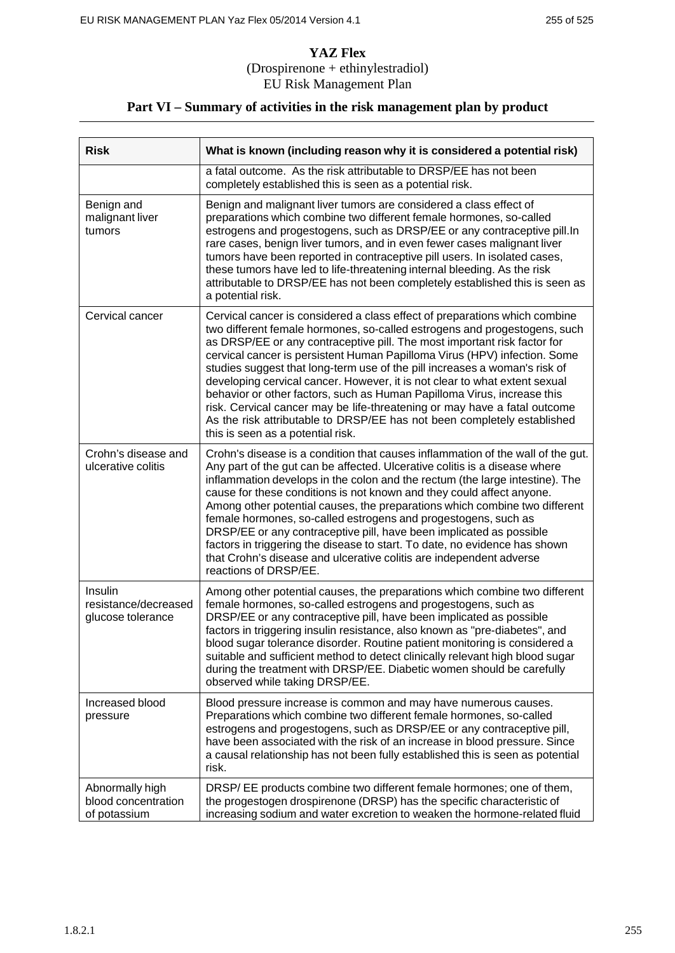# **Part VI – Summary of activities in the risk management plan by product**

| <b>Risk</b>                                            | What is known (including reason why it is considered a potential risk)                                                                                                                                                                                                                                                                                                                                                                                                                                                                                                                                                                                                                                                                               |  |  |
|--------------------------------------------------------|------------------------------------------------------------------------------------------------------------------------------------------------------------------------------------------------------------------------------------------------------------------------------------------------------------------------------------------------------------------------------------------------------------------------------------------------------------------------------------------------------------------------------------------------------------------------------------------------------------------------------------------------------------------------------------------------------------------------------------------------------|--|--|
|                                                        | a fatal outcome. As the risk attributable to DRSP/EE has not been<br>completely established this is seen as a potential risk.                                                                                                                                                                                                                                                                                                                                                                                                                                                                                                                                                                                                                        |  |  |
| Benign and<br>malignant liver<br>tumors                | Benign and malignant liver tumors are considered a class effect of<br>preparations which combine two different female hormones, so-called<br>estrogens and progestogens, such as DRSP/EE or any contraceptive pill. In<br>rare cases, benign liver tumors, and in even fewer cases malignant liver<br>tumors have been reported in contraceptive pill users. In isolated cases,<br>these tumors have led to life-threatening internal bleeding. As the risk<br>attributable to DRSP/EE has not been completely established this is seen as<br>a potential risk.                                                                                                                                                                                      |  |  |
| Cervical cancer                                        | Cervical cancer is considered a class effect of preparations which combine<br>two different female hormones, so-called estrogens and progestogens, such<br>as DRSP/EE or any contraceptive pill. The most important risk factor for<br>cervical cancer is persistent Human Papilloma Virus (HPV) infection. Some<br>studies suggest that long-term use of the pill increases a woman's risk of<br>developing cervical cancer. However, it is not clear to what extent sexual<br>behavior or other factors, such as Human Papilloma Virus, increase this<br>risk. Cervical cancer may be life-threatening or may have a fatal outcome<br>As the risk attributable to DRSP/EE has not been completely established<br>this is seen as a potential risk. |  |  |
| Crohn's disease and<br>ulcerative colitis              | Crohn's disease is a condition that causes inflammation of the wall of the gut.<br>Any part of the gut can be affected. Ulcerative colitis is a disease where<br>inflammation develops in the colon and the rectum (the large intestine). The<br>cause for these conditions is not known and they could affect anyone.<br>Among other potential causes, the preparations which combine two different<br>female hormones, so-called estrogens and progestogens, such as<br>DRSP/EE or any contraceptive pill, have been implicated as possible<br>factors in triggering the disease to start. To date, no evidence has shown<br>that Crohn's disease and ulcerative colitis are independent adverse<br>reactions of DRSP/EE.                          |  |  |
| Insulin<br>resistance/decreased<br>glucose tolerance   | Among other potential causes, the preparations which combine two different<br>female hormones, so-called estrogens and progestogens, such as<br>DRSP/EE or any contraceptive pill, have been implicated as possible<br>factors in triggering insulin resistance, also known as "pre-diabetes", and<br>blood sugar tolerance disorder. Routine patient monitoring is considered a<br>suitable and sufficient method to detect clinically relevant high blood sugar<br>during the treatment with DRSP/EE. Diabetic women should be carefully<br>observed while taking DRSP/EE.                                                                                                                                                                         |  |  |
| Increased blood<br>pressure                            | Blood pressure increase is common and may have numerous causes.<br>Preparations which combine two different female hormones, so-called<br>estrogens and progestogens, such as DRSP/EE or any contraceptive pill,<br>have been associated with the risk of an increase in blood pressure. Since<br>a causal relationship has not been fully established this is seen as potential<br>risk.                                                                                                                                                                                                                                                                                                                                                            |  |  |
| Abnormally high<br>blood concentration<br>of potassium | DRSP/EE products combine two different female hormones; one of them,<br>the progestogen drospirenone (DRSP) has the specific characteristic of<br>increasing sodium and water excretion to weaken the hormone-related fluid                                                                                                                                                                                                                                                                                                                                                                                                                                                                                                                          |  |  |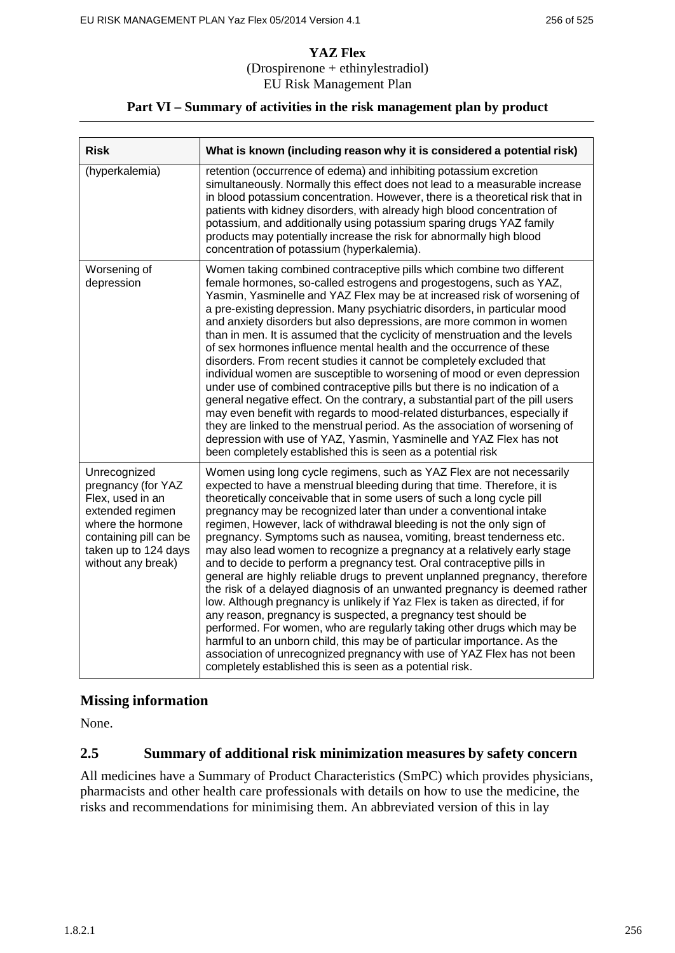# **Part VI – Summary of activities in the risk management plan by product**

| <b>Risk</b>                                                                                                                                                             | What is known (including reason why it is considered a potential risk)                                                                                                                                                                                                                                                                                                                                                                                                                                                                                                                                                                                                                                                                                                                                                                                                                                                                                                                                                                                                                                                                                                                                               |
|-------------------------------------------------------------------------------------------------------------------------------------------------------------------------|----------------------------------------------------------------------------------------------------------------------------------------------------------------------------------------------------------------------------------------------------------------------------------------------------------------------------------------------------------------------------------------------------------------------------------------------------------------------------------------------------------------------------------------------------------------------------------------------------------------------------------------------------------------------------------------------------------------------------------------------------------------------------------------------------------------------------------------------------------------------------------------------------------------------------------------------------------------------------------------------------------------------------------------------------------------------------------------------------------------------------------------------------------------------------------------------------------------------|
| (hyperkalemia)                                                                                                                                                          | retention (occurrence of edema) and inhibiting potassium excretion<br>simultaneously. Normally this effect does not lead to a measurable increase<br>in blood potassium concentration. However, there is a theoretical risk that in<br>patients with kidney disorders, with already high blood concentration of<br>potassium, and additionally using potassium sparing drugs YAZ family<br>products may potentially increase the risk for abnormally high blood<br>concentration of potassium (hyperkalemia).                                                                                                                                                                                                                                                                                                                                                                                                                                                                                                                                                                                                                                                                                                        |
| Worsening of<br>depression                                                                                                                                              | Women taking combined contraceptive pills which combine two different<br>female hormones, so-called estrogens and progestogens, such as YAZ,<br>Yasmin, Yasminelle and YAZ Flex may be at increased risk of worsening of<br>a pre-existing depression. Many psychiatric disorders, in particular mood<br>and anxiety disorders but also depressions, are more common in women<br>than in men. It is assumed that the cyclicity of menstruation and the levels<br>of sex hormones influence mental health and the occurrence of these<br>disorders. From recent studies it cannot be completely excluded that<br>individual women are susceptible to worsening of mood or even depression<br>under use of combined contraceptive pills but there is no indication of a<br>general negative effect. On the contrary, a substantial part of the pill users<br>may even benefit with regards to mood-related disturbances, especially if<br>they are linked to the menstrual period. As the association of worsening of<br>depression with use of YAZ, Yasmin, Yasminelle and YAZ Flex has not<br>been completely established this is seen as a potential risk                                                           |
| Unrecognized<br>pregnancy (for YAZ<br>Flex, used in an<br>extended regimen<br>where the hormone<br>containing pill can be<br>taken up to 124 days<br>without any break) | Women using long cycle regimens, such as YAZ Flex are not necessarily<br>expected to have a menstrual bleeding during that time. Therefore, it is<br>theoretically conceivable that in some users of such a long cycle pill<br>pregnancy may be recognized later than under a conventional intake<br>regimen, However, lack of withdrawal bleeding is not the only sign of<br>pregnancy. Symptoms such as nausea, vomiting, breast tenderness etc.<br>may also lead women to recognize a pregnancy at a relatively early stage<br>and to decide to perform a pregnancy test. Oral contraceptive pills in<br>general are highly reliable drugs to prevent unplanned pregnancy, therefore<br>the risk of a delayed diagnosis of an unwanted pregnancy is deemed rather<br>low. Although pregnancy is unlikely if Yaz Flex is taken as directed, if for<br>any reason, pregnancy is suspected, a pregnancy test should be<br>performed. For women, who are regularly taking other drugs which may be<br>harmful to an unborn child, this may be of particular importance. As the<br>association of unrecognized pregnancy with use of YAZ Flex has not been<br>completely established this is seen as a potential risk. |

# **Missing information**

None.

# **2.5 Summary of additional risk minimization measures by safety concern**

All medicines have a Summary of Product Characteristics (SmPC) which provides physicians, pharmacists and other health care professionals with details on how to use the medicine, the risks and recommendations for minimising them. An abbreviated version of this in lay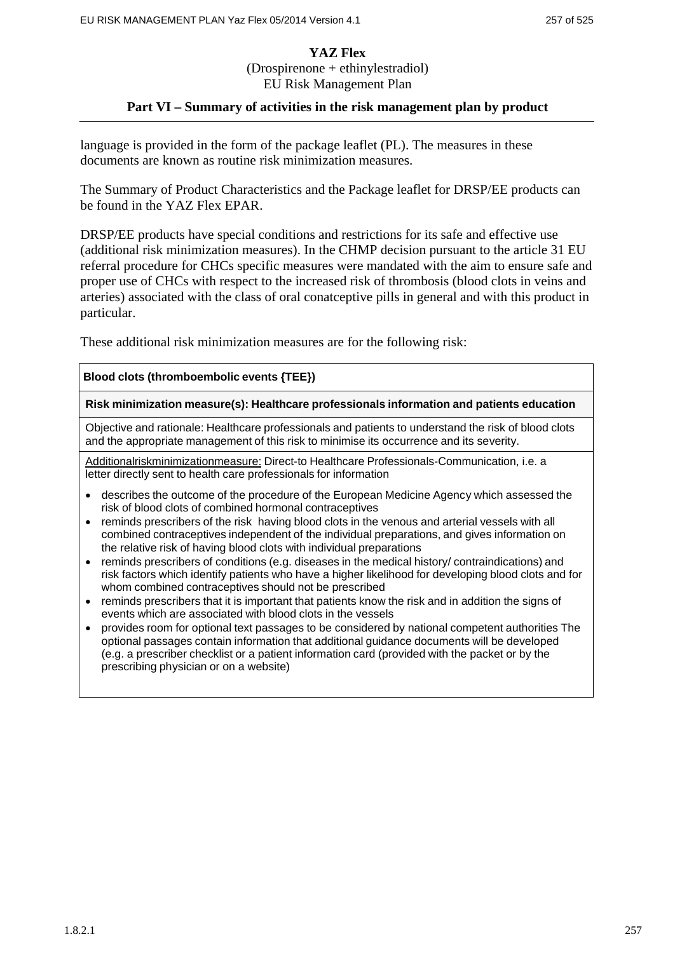#### **Part VI – Summary of activities in the risk management plan by product**

language is provided in the form of the package leaflet (PL). The measures in these documents are known as routine risk minimization measures.

The Summary of Product Characteristics and the Package leaflet for DRSP/EE products can be found in the YAZ Flex EPAR.

DRSP/EE products have special conditions and restrictions for its safe and effective use (additional risk minimization measures). In the CHMP decision pursuant to the article 31 EU referral procedure for CHCs specific measures were mandated with the aim to ensure safe and proper use of CHCs with respect to the increased risk of thrombosis (blood clots in veins and arteries) associated with the class of oral conatceptive pills in general and with this product in particular.

These additional risk minimization measures are for the following risk:

#### **Blood clots (thromboembolic events {TEE})**

**Risk minimization measure(s): Healthcare professionals information and patients education**

Objective and rationale: Healthcare professionals and patients to understand the risk of blood clots and the appropriate management of this risk to minimise its occurrence and its severity.

Additionalriskminimizationmeasure: Direct-to Healthcare Professionals-Communication, i.e. a letter directly sent to health care professionals for information

- describes the outcome of the procedure of the European Medicine Agency which assessed the risk of blood clots of combined hormonal contraceptives
- reminds prescribers of the risk having blood clots in the venous and arterial vessels with all combined contraceptives independent of the individual preparations, and gives information on the relative risk of having blood clots with individual preparations
- reminds prescribers of conditions (e.g. diseases in the medical history/ contraindications) and risk factors which identify patients who have a higher likelihood for developing blood clots and for whom combined contraceptives should not be prescribed
- reminds prescribers that it is important that patients know the risk and in addition the signs of events which are associated with blood clots in the vessels
- provides room for optional text passages to be considered by national competent authorities The optional passages contain information that additional guidance documents will be developed (e.g. a prescriber checklist or a patient information card (provided with the packet or by the prescribing physician or on a website)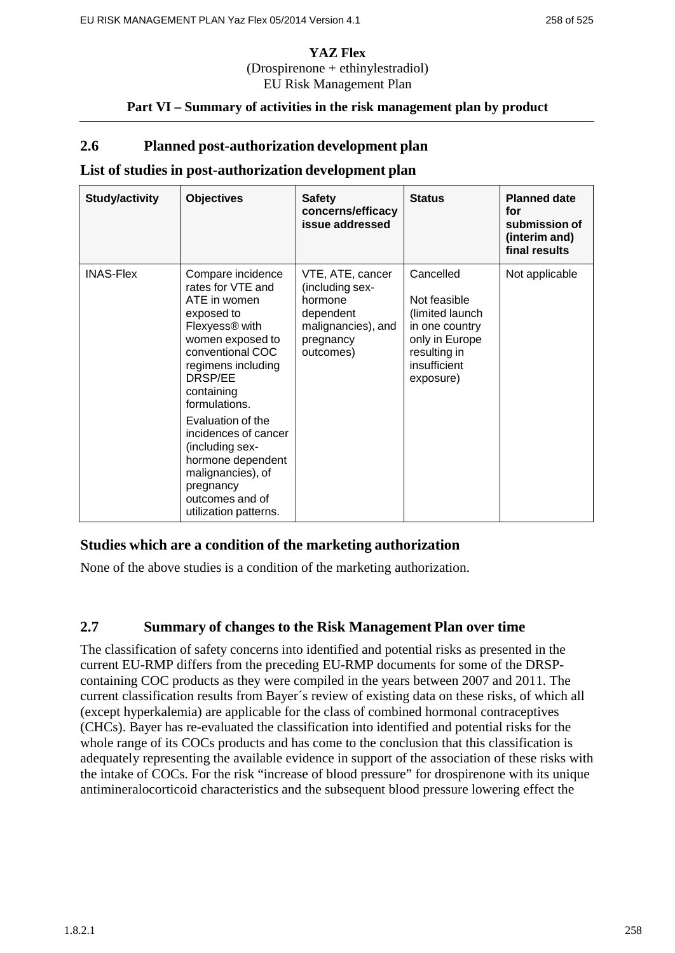# **Part VI – Summary of activities in the risk management plan by product**

# **2.6 Planned post-authorization development plan**

### **List of studies in post-authorization development plan**

| <b>Study/activity</b> | <b>Objectives</b>                                                                                                                                                                                                                                                                                                                                                             | <b>Safety</b><br>concerns/efficacy<br>issue addressed                                                       | <b>Status</b>                                                                                                                 | <b>Planned date</b><br>for<br>submission of<br>(interim and)<br>final results |
|-----------------------|-------------------------------------------------------------------------------------------------------------------------------------------------------------------------------------------------------------------------------------------------------------------------------------------------------------------------------------------------------------------------------|-------------------------------------------------------------------------------------------------------------|-------------------------------------------------------------------------------------------------------------------------------|-------------------------------------------------------------------------------|
| <b>INAS-Flex</b>      | Compare incidence<br>rates for VTE and<br>ATE in women<br>exposed to<br>Flexyess <sup>®</sup> with<br>women exposed to<br>conventional COC<br>regimens including<br>DRSP/EE<br>containing<br>formulations.<br>Evaluation of the<br>incidences of cancer<br>(including sex-<br>hormone dependent<br>malignancies), of<br>pregnancy<br>outcomes and of<br>utilization patterns. | VTE, ATE, cancer<br>(including sex-<br>hormone<br>dependent<br>malignancies), and<br>pregnancy<br>outcomes) | Cancelled<br>Not feasible<br>(limited launch<br>in one country<br>only in Europe<br>resulting in<br>insufficient<br>exposure) | Not applicable                                                                |

# **Studies which are a condition of the marketing authorization**

None of the above studies is a condition of the marketing authorization.

# **2.7 Summary of changes to the Risk Management Plan over time**

The classification of safety concerns into identified and potential risks as presented in the current EU-RMP differs from the preceding EU-RMP documents for some of the DRSPcontaining COC products as they were compiled in the years between 2007 and 2011. The current classification results from Bayer´s review of existing data on these risks, of which all (except hyperkalemia) are applicable for the class of combined hormonal contraceptives (CHCs). Bayer has re-evaluated the classification into identified and potential risks for the whole range of its COCs products and has come to the conclusion that this classification is adequately representing the available evidence in support of the association of these risks with the intake of COCs. For the risk "increase of blood pressure" for drospirenone with its unique antimineralocorticoid characteristics and the subsequent blood pressure lowering effect the